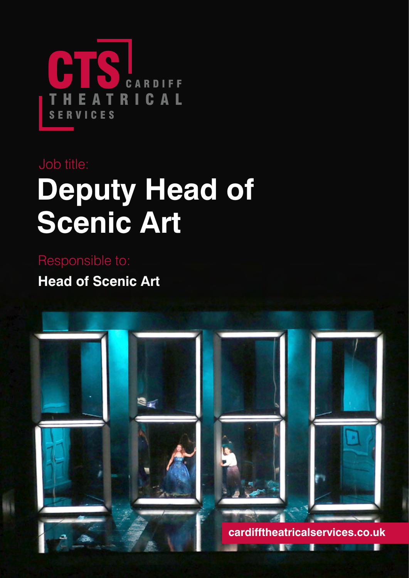

# **Deputy Head of Scenic Art** Job title:

**Head of Scenic Art** Responsible to:

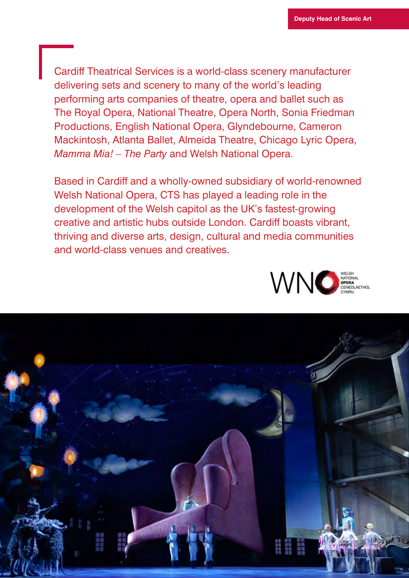Cardiff Theatrical Services is a world-class scenery manufacturer delivering sets and scenery to many of the world's leading performing arts companies of theatre, opera and ballet such as The Royal Opera, National Theatre, Opera North, Sonia Friedman Productions, English National Opera, Glyndebourne, Cameron Mackintosh, Atlanta Ballet, Almeida Theatre, Chicago Lyric Opera, *Mamma Mia! – The Party* and Welsh National Opera.

Based in Cardiff and a wholly-owned subsidiary of world-renowned Welsh National Opera, CTS has played a leading role in the development of the Welsh capitol as the UK's fastest-growing creative and artistic hubs outside London. Cardiff boasts vibrant, thriving and diverse arts, design, cultural and media communities and world-class venues and creatives.



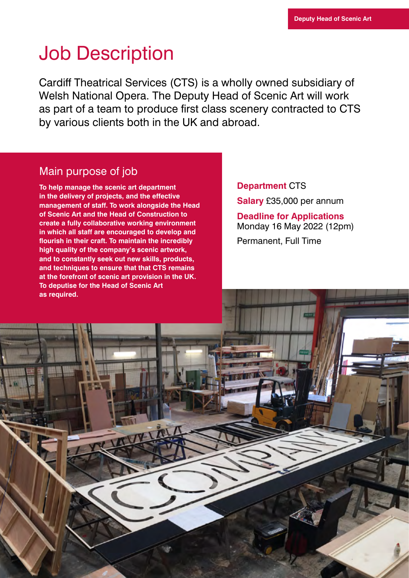### Job Description

Cardiff Theatrical Services (CTS) is a wholly owned subsidiary of Welsh National Opera. The Deputy Head of Scenic Art will work as part of a team to produce first class scenery contracted to CTS by various clients both in the UK and abroad.

### Main purpose of job

**To help manage the scenic art department in the delivery of projects, and the effective management of staff. To work alongside the Head of Scenic Art and the Head of Construction to create a fully collaborative working environment in which all staff are encouraged to develop and flourish in their craft. To maintain the incredibly high quality of the company's scenic artwork, and to constantly seek out new skills, products, and techniques to ensure that that CTS remains at the forefront of scenic art provision in the UK. To deputise for the Head of Scenic Art as required.**

### **Department** CTS **Salary** £35,000 per annum **Deadline for Applications**

Monday 16 May 2022 (12pm) Permanent, Full Time

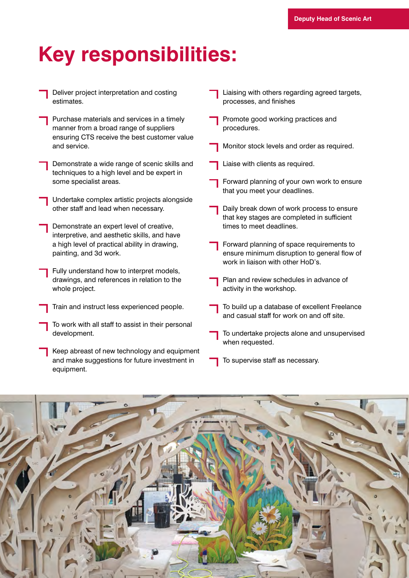## **Key responsibilities:**

| Deliver project interpretation and costing<br>estimates.                                                                | Liaising with others regarding agreed targets,<br>processes, and finishes                                                      |
|-------------------------------------------------------------------------------------------------------------------------|--------------------------------------------------------------------------------------------------------------------------------|
| Purchase materials and services in a timely<br>manner from a broad range of suppliers                                   | Promote good working practices and<br>procedures.                                                                              |
| ensuring CTS receive the best customer value<br>and service.                                                            | Monitor stock levels and order as required.                                                                                    |
| Demonstrate a wide range of scenic skills and<br>techniques to a high level and be expert in                            | Liaise with clients as required.                                                                                               |
| some specialist areas.                                                                                                  | Forward planning of your own work to ensure<br>that you meet your deadlines.                                                   |
| Undertake complex artistic projects alongside                                                                           |                                                                                                                                |
| other staff and lead when necessary.                                                                                    | Daily break down of work process to ensure<br>that key stages are completed in sufficient                                      |
| Demonstrate an expert level of creative,                                                                                | times to meet deadlines.                                                                                                       |
| interpretive, and aesthetic skills, and have<br>a high level of practical ability in drawing,<br>painting, and 3d work. | Forward planning of space requirements to<br>ensure minimum disruption to general flow of<br>work in liaison with other HoD's. |
| Fully understand how to interpret models,                                                                               |                                                                                                                                |
| drawings, and references in relation to the<br>whole project.                                                           | Plan and review schedules in advance of<br>activity in the workshop.                                                           |
| Train and instruct less experienced people.                                                                             | To build up a database of excellent Freelance<br>and casual staff for work on and off site.                                    |
| To work with all staff to assist in their personal                                                                      |                                                                                                                                |
| development.                                                                                                            | To undertake projects alone and unsupervised<br>when requested.                                                                |
| Keep abreast of new technology and equipment                                                                            |                                                                                                                                |
| and make suggestions for future investment in<br>equipment.                                                             | To supervise staff as necessary.                                                                                               |

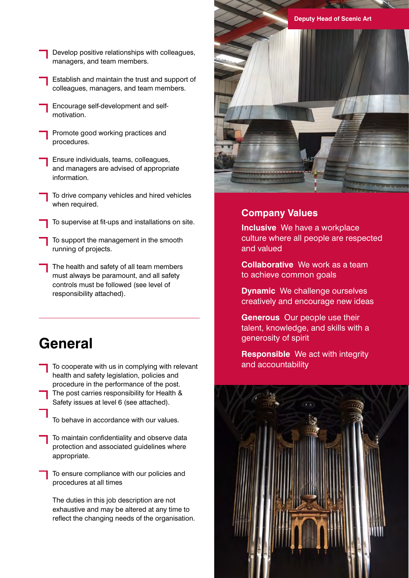- Develop positive relationships with colleagues, managers, and team members.
	- Establish and maintain the trust and support of colleagues, managers, and team members.
- Encourage self-development and selfmotivation.
- Promote good working practices and procedures.
- Ensure individuals, teams, colleagues, and managers are advised of appropriate information.
- To drive company vehicles and hired vehicles when required.
- To supervise at fit-ups and installations on site.
- To support the management in the smooth running of projects.
- The health and safety of all team members must always be paramount, and all safety controls must be followed (see level of responsibility attached).

### **General**

 To cooperate with us in complying with relevant health and safety legislation, policies and procedure in the performance of the post. The post carries responsibility for Health & Safety issues at level 6 (see attached).

To behave in accordance with our values.

 To maintain confidentiality and observe data protection and associated guidelines where appropriate.

 To ensure compliance with our policies and procedures at all times

 The duties in this job description are not exhaustive and may be altered at any time to reflect the changing needs of the organisation.



### **Company Values**

**Inclusive** We have a workplace culture where all people are respected and valued

**Collaborative** We work as a team to achieve common goals

**Dynamic** We challenge ourselves creatively and encourage new ideas

**Generous** Our people use their talent, knowledge, and skills with a generosity of spirit

**Responsible** We act with integrity and accountability

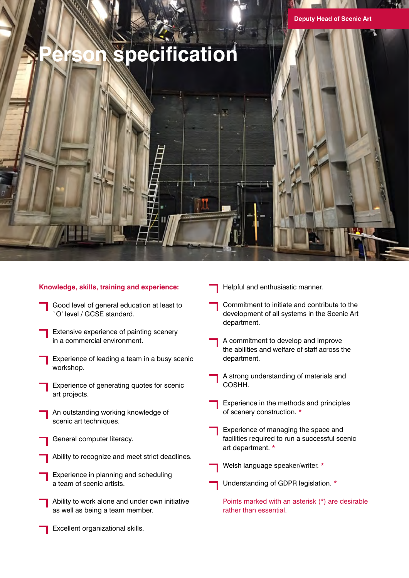## **Person specification**

#### **Knowledge, skills, training and experience:**

- Good level of general education at least to O' level / GCSE standard.
- Extensive experience of painting scenery in a commercial environment.
- Experience of leading a team in a busy scenic workshop.
- Experience of generating quotes for scenic art projects.
- An outstanding working knowledge of scenic art techniques.
- General computer literacy.
- Ability to recognize and meet strict deadlines.
- Experience in planning and scheduling a team of scenic artists.
- Ability to work alone and under own initiative as well as being a team member.
	- Excellent organizational skills.
- Helpful and enthusiastic manner.
- Commitment to initiate and contribute to the development of all systems in the Scenic Art department.
- A commitment to develop and improve the abilities and welfare of staff across the department.
- A strong understanding of materials and COSHH.
- Experience in the methods and principles of scenery construction. \*
- Experience of managing the space and facilities required to run a successful scenic art department. \*
- Welsh language speaker/writer. \*
	- Understanding of GDPR legislation. \*

 Points marked with an asterisk (\*) are desirable rather than essential.